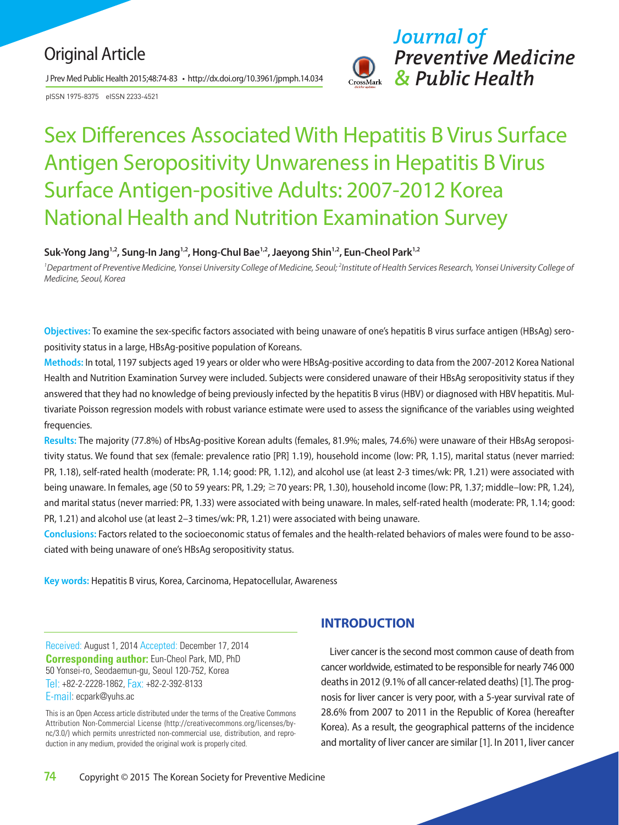# Original Article

J Prev Med Public Health 2015;48:74-83 • http://dx.doi.org/10.3961/jpmph.14.034

pISSN 1975-8375 eISSN 2233-4521



# Sex Differences Associated With Hepatitis B Virus Surface Antigen Seropositivity Unwareness in Hepatitis B Virus Surface Antigen-positive Adults: 2007‐2012 Korea National Health and Nutrition Examination Survey

## Suk-Yong Jang<sup>1,2</sup>, Sung-In Jang<sup>1,2</sup>, Hong-Chul Bae<sup>1,2</sup>, Jaeyong Shin<sup>1,2</sup>, Eun-Cheol Park<sup>1,2</sup>

<sup>1</sup>Department of Preventive Medicine, Yonsei University College of Medicine, Seoul; <sup>2</sup>Institute of Health Services Research, Yonsei University College of *Medicine, Seoul, Korea* 

**Objectives:** To examine the sex-specific factors associated with being unaware of one's hepatitis B virus surface antigen (HBsAg) seropositivity status in a large, HBsAg-positive population of Koreans.

**Methods:** In total, 1197 subjects aged 19 years or older who were HBsAg-positive according to data from the 2007-2012 Korea National Health and Nutrition Examination Survey were included. Subjects were considered unaware of their HBsAg seropositivity status if they answered that they had no knowledge of being previously infected by the hepatitis B virus (HBV) or diagnosed with HBV hepatitis. Multivariate Poisson regression models with robust variance estimate were used to assess the significance of the variables using weighted frequencies.

**Results:** The majority (77.8%) of HbsAg-positive Korean adults (females, 81.9%; males, 74.6%) were unaware of their HBsAg seropositivity status. We found that sex (female: prevalence ratio [PR] 1.19), household income (low: PR, 1.15), marital status (never married: PR, 1.18), self-rated health (moderate: PR, 1.14; good: PR, 1.12), and alcohol use (at least 2-3 times/wk: PR, 1.21) were associated with being unaware. In females, age (50 to 59 years: PR, 1.29; ≥70 years: PR, 1.30), household income (low: PR, 1.37; middle–low: PR, 1.24), and marital status (never married: PR, 1.33) were associated with being unaware. In males, self-rated health (moderate: PR, 1.14; good: PR, 1.21) and alcohol use (at least 2–3 times/wk: PR, 1.21) were associated with being unaware.

**Conclusions:** Factors related to the socioeconomic status of females and the health-related behaviors of males were found to be associated with being unaware of one's HBsAg seropositivity status.

**Key words:** Hepatitis B virus, Korea, Carcinoma, Hepatocellular, Awareness

Received: August 1, 2014 Accepted: December 17, 2014 **Corresponding author:** Eun-Cheol Park, MD, PhD 50 Yonsei-ro, Seodaemun-gu, Seoul 120-752, Korea Tel: +82-2-2228-1862, Fax: +82-2-392-8133 E-mail: ecpark@yuhs.ac

This is an Open Access article distributed under the terms of the Creative Commons Attribution Non-Commercial License (http://creativecommons.org/licenses/bync/3.0/) which permits unrestricted non-commercial use, distribution, and reproduction in any medium, provided the original work is properly cited.

# **INTRODUCTION**

Liver cancer is the second most common cause of death from cancer worldwide, estimated to be responsible for nearly 746 000 deaths in 2012 (9.1% of all cancer-related deaths) [1]. The prognosis for liver cancer is very poor, with a 5-year survival rate of 28.6% from 2007 to 2011 in the Republic of Korea (hereafter Korea). As a result, the geographical patterns of the incidence and mortality of liver cancer are similar [1]. In 2011, liver cancer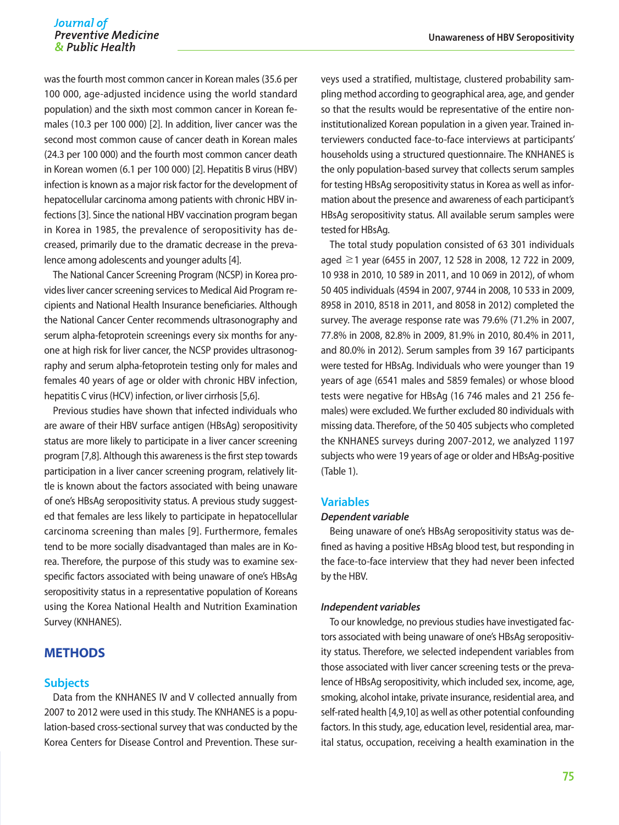# Journal of *Journal of* **Unawareness of HBV Seropositivity**

was the fourth most common cancer in Korean males (35.6 per 100 000, age-adjusted incidence using the world standard population) and the sixth most common cancer in Korean females (10.3 per 100 000) [2]. In addition, liver cancer was the second most common cause of cancer death in Korean males (24.3 per 100 000) and the fourth most common cancer death in Korean women (6.1 per 100 000) [2]. Hepatitis B virus (HBV) infection is known as a major risk factor for the development of hepatocellular carcinoma among patients with chronic HBV infections [3]. Since the national HBV vaccination program began in Korea in 1985, the prevalence of seropositivity has decreased, primarily due to the dramatic decrease in the prevalence among adolescents and younger adults [4].

The National Cancer Screening Program (NCSP) in Korea provides liver cancer screening services to Medical Aid Program recipients and National Health Insurance beneficiaries. Although the National Cancer Center recommends ultrasonography and serum alpha-fetoprotein screenings every six months for anyone at high risk for liver cancer, the NCSP provides ultrasonography and serum alpha-fetoprotein testing only for males and females 40 years of age or older with chronic HBV infection, hepatitis C virus (HCV) infection, or liver cirrhosis [5,6].

Previous studies have shown that infected individuals who are aware of their HBV surface antigen (HBsAg) seropositivity status are more likely to participate in a liver cancer screening program [7,8]. Although this awareness is the first step towards participation in a liver cancer screening program, relatively little is known about the factors associated with being unaware of one's HBsAg seropositivity status. A previous study suggested that females are less likely to participate in hepatocellular carcinoma screening than males [9]. Furthermore, females tend to be more socially disadvantaged than males are in Korea. Therefore, the purpose of this study was to examine sexspecific factors associated with being unaware of one's HBsAg seropositivity status in a representative population of Koreans using the Korea National Health and Nutrition Examination Survey (KNHANES).

# **METHODS**

#### **Subjects**

Data from the KNHANES IV and V collected annually from 2007 to 2012 were used in this study. The KNHANES is a population-based cross-sectional survey that was conducted by the Korea Centers for Disease Control and Prevention. These surveys used a stratified, multistage, clustered probability sampling method according to geographical area, age, and gender so that the results would be representative of the entire noninstitutionalized Korean population in a given year. Trained interviewers conducted face-to-face interviews at participants' households using a structured questionnaire. The KNHANES is the only population-based survey that collects serum samples for testing HBsAg seropositivity status in Korea as well as information about the presence and awareness of each participant's HBsAg seropositivity status. All available serum samples were tested for HBsAg.

The total study population consisted of 63 301 individuals aged ≥1 year (6455 in 2007, 12 528 in 2008, 12 722 in 2009, 10 938 in 2010, 10 589 in 2011, and 10 069 in 2012), of whom 50 405 individuals (4594 in 2007, 9744 in 2008, 10 533 in 2009, 8958 in 2010, 8518 in 2011, and 8058 in 2012) completed the survey. The average response rate was 79.6% (71.2% in 2007, 77.8% in 2008, 82.8% in 2009, 81.9% in 2010, 80.4% in 2011, and 80.0% in 2012). Serum samples from 39 167 participants were tested for HBsAg. Individuals who were younger than 19 years of age (6541 males and 5859 females) or whose blood tests were negative for HBsAg (16 746 males and 21 256 females) were excluded. We further excluded 80 individuals with missing data. Therefore, of the 50 405 subjects who completed the KNHANES surveys during 2007-2012, we analyzed 1197 subjects who were 19 years of age or older and HBsAg-positive (Table 1).

### **Variables**

#### *Dependent variable*

Being unaware of one's HBsAg seropositivity status was defined as having a positive HBsAg blood test, but responding in the face-to-face interview that they had never been infected by the HBV.

#### *Independent variables*

To our knowledge, no previous studies have investigated factors associated with being unaware of one's HBsAg seropositivity status. Therefore, we selected independent variables from those associated with liver cancer screening tests or the prevalence of HBsAg seropositivity, which included sex, income, age, smoking, alcohol intake, private insurance, residential area, and self-rated health [4,9,10] as well as other potential confounding factors. In this study, age, education level, residential area, marital status, occupation, receiving a health examination in the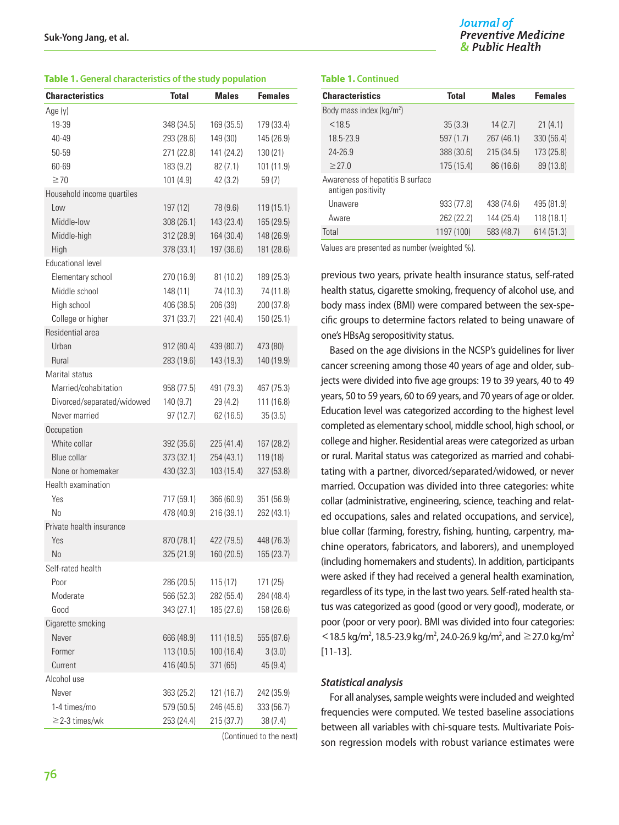#### **Table 1. General characteristics of the study population**

| <b>Characteristics</b>     | <b>Total</b> | <b>Males</b> | <b>Females</b> |
|----------------------------|--------------|--------------|----------------|
| Age (y)                    |              |              |                |
| 19-39                      | 348 (34.5)   | 169 (35.5)   | 179 (33.4)     |
| 40-49                      | 293 (28.6)   | 149 (30)     | 145 (26.9)     |
| 50-59                      | 271 (22.8)   | 141 (24.2)   | 130 (21)       |
| 60-69                      | 183 (9.2)    | 82(7.1)      | 101 (11.9)     |
| $\geq 70$                  | 101 (4.9)    | 42 (3.2)     | 59 (7)         |
| Household income quartiles |              |              |                |
| Low                        | 197 (12)     | 78 (9.6)     | 119 (15.1)     |
| Middle-low                 | 308 (26.1)   | 143 (23.4)   | 165 (29.5)     |
| Middle-high                | 312 (28.9)   | 164 (30.4)   | 148 (26.9)     |
| High                       | 378 (33.1)   | 197 (36.6)   | 181 (28.6)     |
| <b>Educational level</b>   |              |              |                |
| Elementary school          | 270 (16.9)   | 81 (10.2)    | 189 (25.3)     |
| Middle school              | 148 (11)     | 74 (10.3)    | 74 (11.8)      |
| High school                | 406 (38.5)   | 206 (39)     | 200 (37.8)     |
| College or higher          | 371 (33.7)   | 221 (40.4)   | 150 (25.1)     |
| Residential area           |              |              |                |
| Urban                      | 912 (80.4)   | 439 (80.7)   | 473 (80)       |
| Rural                      | 283 (19.6)   | 143 (19.3)   | 140 (19.9)     |
| Marital status             |              |              |                |
| Married/cohabitation       | 958 (77.5)   | 491 (79.3)   | 467 (75.3)     |
| Divorced/separated/widowed | 140 (9.7)    | 29 (4.2)     | 111 (16.8)     |
| Never married              | 97(12.7)     | 62 (16.5)    | 35(3.5)        |
| Occupation                 |              |              |                |
| White collar               | 392 (35.6)   | 225 (41.4)   | 167 (28.2)     |
| <b>Blue collar</b>         | 373 (32.1)   | 254 (43.1)   | 119 (18)       |
| None or homemaker          | 430 (32.3)   | 103 (15.4)   | 327 (53.8)     |
| Health examination         |              |              |                |
| Yes                        | 717 (59.1)   | 366 (60.9)   | 351 (56.9)     |
| No                         | 478 (40.9)   | 216 (39.1)   | 262 (43.1)     |
| Private health insurance   |              |              |                |
| Yes                        | 870 (78.1)   | 422 (79.5)   | 448 (76.3)     |
| No                         | 325 (21.9)   | 160 (20.5)   | 165 (23.7)     |
| Self-rated health          |              |              |                |
| Poor                       | 286 (20.5)   | 115(17)      | 171 (25)       |
| Moderate                   | 566 (52.3)   | 282 (55.4)   | 284 (48.4)     |
| Good                       | 343 (27.1)   | 185 (27.6)   | 158 (26.6)     |
| Cigarette smoking          |              |              |                |
| Never                      | 666 (48.9)   | 111 (18.5)   | 555 (87.6)     |
| Former                     | 113 (10.5)   | 100 (16.4)   | 3(3.0)         |
| Current                    | 416 (40.5)   | 371 (65)     | 45(9.4)        |
| Alcohol use                |              |              |                |
| Never                      | 363 (25.2)   | 121 (16.7)   | 242 (35.9)     |
| 1-4 times/mo               | 579 (50.5)   | 246 (45.6)   | 333 (56.7)     |
| $\geq$ 2-3 times/wk        | 253 (24.4)   | 215 (37.7)   | 38 (7.4)       |
|                            |              |              |                |

(Continued to the next)

#### **Table 1. Continued**

| <b>Characteristics</b>                                 | <b>Total</b> | <b>Males</b> | <b>Females</b> |
|--------------------------------------------------------|--------------|--------------|----------------|
| Body mass index ( $kg/m2$ )                            |              |              |                |
| < 18.5                                                 | 35(3.3)      | 14(2.7)      | 21(4.1)        |
| 18.5-23.9                                              | 597(1.7)     | 267 (46.1)   | 330 (56.4)     |
| 24-26.9                                                | 388 (30.6)   | 215(34.5)    | 173 (25.8)     |
| $\geq$ 27.0                                            | 175(15.4)    | 86 (16.6)    | 89 (13.8)      |
| Awareness of hepatitis B surface<br>antigen positivity |              |              |                |
| Unaware                                                | 933 (77.8)   | 438 (74.6)   | 495 (81.9)     |
| Aware                                                  | 262 (22.2)   | 144 (25.4)   | 118(18.1)      |
| Total                                                  | 1197 (100)   | 583 (48.7)   | 614 (51.3)     |

Values are presented as number (weighted %).

previous two years, private health insurance status, self-rated health status, cigarette smoking, frequency of alcohol use, and body mass index (BMI) were compared between the sex-specific groups to determine factors related to being unaware of one's HBsAg seropositivity status.

Based on the age divisions in the NCSP's guidelines for liver cancer screening among those 40 years of age and older, subjects were divided into five age groups: 19 to 39 years, 40 to 49 years, 50 to 59 years, 60 to 69 years, and 70 years of age or older. Education level was categorized according to the highest level completed as elementary school, middle school, high school, or college and higher. Residential areas were categorized as urban or rural. Marital status was categorized as married and cohabitating with a partner, divorced/separated/widowed, or never married. Occupation was divided into three categories: white collar (administrative, engineering, science, teaching and related occupations, sales and related occupations, and service), blue collar (farming, forestry, fishing, hunting, carpentry, machine operators, fabricators, and laborers), and unemployed (including homemakers and students). In addition, participants were asked if they had received a general health examination, regardless of its type, in the last two years. Self-rated health status was categorized as good (good or very good), moderate, or poor (poor or very poor). BMI was divided into four categories:  $<$  18.5 kg/m<sup>2</sup>, 18.5-23.9 kg/m<sup>2</sup>, 24.0-26.9 kg/m<sup>2</sup>, and  $\ge$  27.0 kg/m<sup>2</sup> [11-13].

#### *Statistical analysis*

For all analyses, sample weights were included and weighted frequencies were computed. We tested baseline associations between all variables with chi-square tests. Multivariate Poisson regression models with robust variance estimates were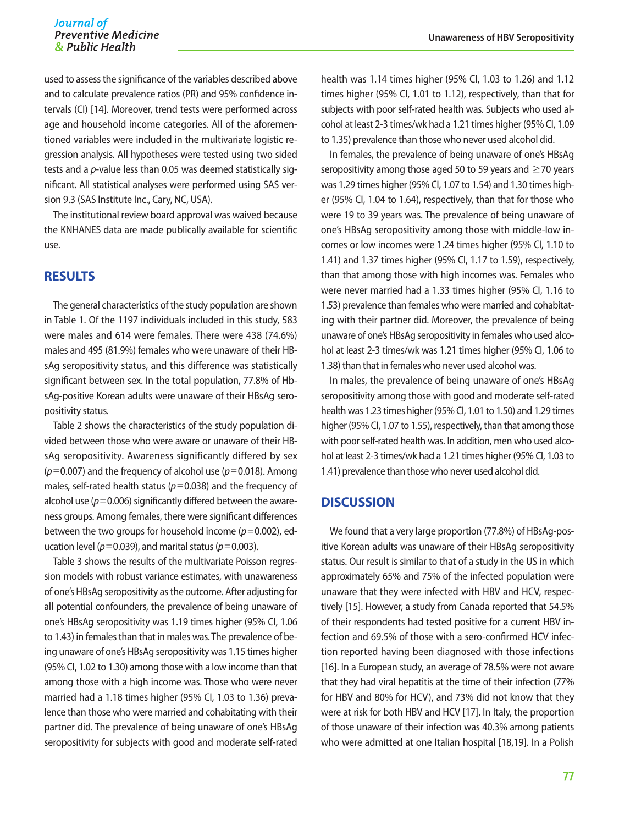used to assess the significance of the variables described above and to calculate prevalence ratios (PR) and 95% confidence intervals (CI) [14]. Moreover, trend tests were performed across age and household income categories. All of the aforementioned variables were included in the multivariate logistic regression analysis. All hypotheses were tested using two sided tests and a *p*-value less than 0.05 was deemed statistically significant. All statistical analyses were performed using SAS version 9.3 (SAS Institute Inc., Cary, NC, USA).

The institutional review board approval was waived because the KNHANES data are made publically available for scientific use.

# **RESULTS**

The general characteristics of the study population are shown in Table 1. Of the 1197 individuals included in this study, 583 were males and 614 were females. There were 438 (74.6%) males and 495 (81.9%) females who were unaware of their HBsAg seropositivity status, and this difference was statistically significant between sex. In the total population, 77.8% of HbsAg-positive Korean adults were unaware of their HBsAg seropositivity status.

Table 2 shows the characteristics of the study population divided between those who were aware or unaware of their HBsAg seropositivity. Awareness significantly differed by sex  $(p=0.007)$  and the frequency of alcohol use  $(p=0.018)$ . Among males, self-rated health status ( $p=0.038$ ) and the frequency of alcohol use ( $p=0.006$ ) significantly differed between the awareness groups. Among females, there were significant differences between the two groups for household income (*p*=0.002), education level ( $p=0.039$ ), and marital status ( $p=0.003$ ).

Table 3 shows the results of the multivariate Poisson regression models with robust variance estimates, with unawareness of one's HBsAg seropositivity as the outcome. After adjusting for all potential confounders, the prevalence of being unaware of one's HBsAg seropositivity was 1.19 times higher (95% CI, 1.06 to 1.43) in females than that in males was. The prevalence of being unaware of one's HBsAg seropositivity was 1.15 times higher (95% CI, 1.02 to 1.30) among those with a low income than that among those with a high income was. Those who were never married had a 1.18 times higher (95% CI, 1.03 to 1.36) prevalence than those who were married and cohabitating with their partner did. The prevalence of being unaware of one's HBsAg seropositivity for subjects with good and moderate self-rated

health was 1.14 times higher (95% CI, 1.03 to 1.26) and 1.12 times higher (95% CI, 1.01 to 1.12), respectively, than that for subjects with poor self-rated health was. Subjects who used alcohol at least 2-3 times/wk had a 1.21 times higher (95% CI, 1.09 to 1.35) prevalence than those who never used alcohol did.

In females, the prevalence of being unaware of one's HBsAg seropositivity among those aged 50 to 59 years and  $\geq$  70 years was 1.29 times higher (95% CI, 1.07 to 1.54) and 1.30 times higher (95% CI, 1.04 to 1.64), respectively, than that for those who were 19 to 39 years was. The prevalence of being unaware of one's HBsAg seropositivity among those with middle-low incomes or low incomes were 1.24 times higher (95% CI, 1.10 to 1.41) and 1.37 times higher (95% CI, 1.17 to 1.59), respectively, than that among those with high incomes was. Females who were never married had a 1.33 times higher (95% CI, 1.16 to 1.53) prevalence than females who were married and cohabitating with their partner did. Moreover, the prevalence of being unaware of one's HBsAg seropositivity in females who used alcohol at least 2-3 times/wk was 1.21 times higher (95% CI, 1.06 to 1.38) than that in females who never used alcohol was.

In males, the prevalence of being unaware of one's HBsAg seropositivity among those with good and moderate self-rated health was 1.23 times higher (95% CI, 1.01 to 1.50) and 1.29 times higher (95% CI, 1.07 to 1.55), respectively, than that among those with poor self-rated health was. In addition, men who used alcohol at least 2-3 times/wk had a 1.21 times higher (95% CI, 1.03 to 1.41) prevalence than those who never used alcohol did.

# **DISCUSSION**

We found that a very large proportion (77.8%) of HBsAg-positive Korean adults was unaware of their HBsAg seropositivity status. Our result is similar to that of a study in the US in which approximately 65% and 75% of the infected population were unaware that they were infected with HBV and HCV, respectively [15]. However, a study from Canada reported that 54.5% of their respondents had tested positive for a current HBV infection and 69.5% of those with a sero-confirmed HCV infection reported having been diagnosed with those infections [16]. In a European study, an average of 78.5% were not aware that they had viral hepatitis at the time of their infection (77% for HBV and 80% for HCV), and 73% did not know that they were at risk for both HBV and HCV [17]. In Italy, the proportion of those unaware of their infection was 40.3% among patients who were admitted at one Italian hospital [18,19]. In a Polish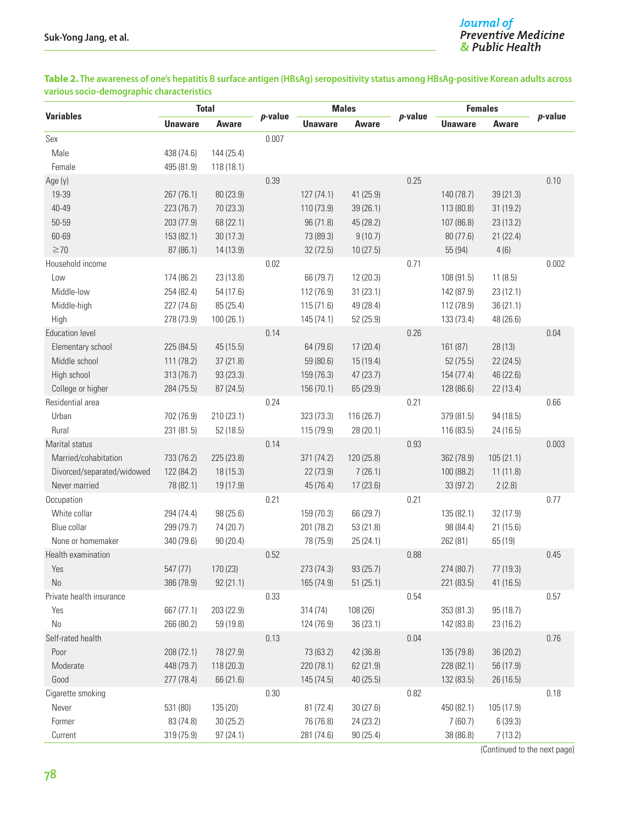## **Table 2. The awareness of one's hepatitis B surface antigen (HBsAg) seropositivity status among HBsAg-positive Korean adults across various socio-demographic characteristics**

|                            | <b>Total</b>   |              |         | <b>Males</b>   |            |            | <b>Females</b> |            |            |
|----------------------------|----------------|--------------|---------|----------------|------------|------------|----------------|------------|------------|
| <b>Variables</b>           | <b>Unaware</b> | <b>Aware</b> | p-value | <b>Unaware</b> | Aware      | $p$ -value | <b>Unaware</b> | Aware      | $p$ -value |
| Sex                        |                |              | 0.007   |                |            |            |                |            |            |
| Male                       | 438 (74.6)     | 144 (25.4)   |         |                |            |            |                |            |            |
| Female                     | 495 (81.9)     | 118 (18.1)   |         |                |            |            |                |            |            |
| Age (y)                    |                |              | 0.39    |                |            | 0.25       |                |            | 0.10       |
| 19-39                      | 267 (76.1)     | 80 (23.9)    |         | 127(74.1)      | 41 (25.9)  |            | 140 (78.7)     | 39 (21.3)  |            |
| 40-49                      | 223 (76.7)     | 70 (23.3)    |         | 110 (73.9)     | 39(26.1)   |            | 113 (80.8)     | 31 (19.2)  |            |
| 50-59                      | 203 (77.9)     | 68 (22.1)    |         | 96 (71.8)      | 45 (28.2)  |            | 107 (86.8)     | 23 (13.2)  |            |
| 60-69                      | 153 (82.1)     | 30(17.3)     |         | 73 (89.3)      | 9(10.7)    |            | 80 (77.6)      | 21 (22.4)  |            |
| $\geq 70$                  | 87 (86.1)      | 14 (13.9)    |         | 32 (72.5)      | 10(27.5)   |            | 55 (94)        | 4(6)       |            |
| Household income           |                |              | 0.02    |                |            | 0.71       |                |            | 0.002      |
| Low                        | 174 (86.2)     | 23 (13.8)    |         | 66 (79.7)      | 12(20.3)   |            | 108 (91.5)     | 11(8.5)    |            |
| Middle-low                 | 254 (82.4)     | 54 (17.6)    |         | 112 (76.9)     | 31(23.1)   |            | 142 (87.9)     | 23 (12.1)  |            |
| Middle-high                | 227 (74.6)     | 85 (25.4)    |         | 115 (71.6)     | 49 (28.4)  |            | 112 (78.9)     | 36 (21.1)  |            |
| High                       | 278 (73.9)     | 100 (26.1)   |         | 145 (74.1)     | 52 (25.9)  |            | 133 (73.4)     | 48 (26.6)  |            |
| <b>Education level</b>     |                |              | 0.14    |                |            | 0.26       |                |            | 0.04       |
| Elementary school          | 225 (84.5)     | 45 (15.5)    |         | 64 (79.6)      | 17(20.4)   |            | 161 (87)       | 28 (13)    |            |
| Middle school              | 111 (78.2)     | 37(21.8)     |         | 59 (80.6)      | 15(19.4)   |            | 52(75.5)       | 22 (24.5)  |            |
| High school                | 313 (76.7)     | 93 (23.3)    |         | 159 (76.3)     | 47(23.7)   |            | 154 (77.4)     | 46 (22.6)  |            |
| College or higher          | 284 (75.5)     | 87 (24.5)    |         | 156 (70.1)     | 65 (29.9)  |            | 128 (86.6)     | 22 (13.4)  |            |
| Residential area           |                |              | 0.24    |                |            | 0.21       |                |            | 0.66       |
| Urban                      | 702 (76.9)     | 210 (23.1)   |         | 323 (73.3)     | 116 (26.7) |            | 379 (81.5)     | 94 (18.5)  |            |
| Rural                      | 231 (81.5)     | 52 (18.5)    |         | 115 (79.9)     | 28 (20.1)  |            | 116 (83.5)     | 24 (16.5)  |            |
| Marital status             |                |              | 0.14    |                |            | 0.93       |                |            | 0.003      |
| Married/cohabitation       | 733 (76.2)     | 225 (23.8)   |         | 371 (74.2)     | 120 (25.8) |            | 362 (78.9)     | 105(21.1)  |            |
| Divorced/separated/widowed | 122 (84.2)     | 18 (15.3)    |         | 22 (73.9)      | 7(26.1)    |            | 100 (88.2)     | 11 (11.8)  |            |
| Never married              | 78 (82.1)      | 19 (17.9)    |         | 45 (76.4)      | 17 (23.6)  |            | 33 (97.2)      | 2(2.8)     |            |
| Occupation                 |                |              | 0.21    |                |            | 0.21       |                |            | 0.77       |
| White collar               | 294 (74.4)     | 98 (25.6)    |         | 159 (70.3)     | 66 (29.7)  |            | 135 (82.1)     | 32 (17.9)  |            |
| Blue collar                | 299 (79.7)     | 74 (20.7)    |         | 201 (78.2)     | 53(21.8)   |            | 98 (84.4)      | 21 (15.6)  |            |
| None or homemaker          | 340 (79.6)     | 90 (20.4)    |         | 78 (75.9)      | 25(24.1)   |            | 262 (81)       | 65 (19)    |            |
| Health examination         |                |              | 0.52    |                |            | 0.88       |                |            | 0.45       |
| Yes                        | 547 (77)       | 170 (23)     |         | 273 (74.3)     | 93 (25.7)  |            | 274 (80.7)     | 77 (19.3)  |            |
| $\rm No$                   | 386 (78.9)     | 92(21.1)     |         | 165 (74.9)     | 51(25.1)   |            | 221 (83.5)     | 41 (16.5)  |            |
| Private health insurance   |                |              | 0.33    |                |            | 0.54       |                |            | 0.57       |
| Yes                        | 667 (77.1)     | 203 (22.9)   |         | 314(74)        | 108 (26)   |            | 353 (81.3)     | 95 (18.7)  |            |
| $\rm No$                   | 266 (80.2)     | 59 (19.8)    |         | 124 (76.9)     | 36 (23.1)  |            | 142 (83.8)     | 23 (16.2)  |            |
| Self-rated health          |                |              | 0.13    |                |            | 0.04       |                |            | 0.76       |
| Poor                       | 208 (72.1)     | 78 (27.9)    |         | 73 (63.2)      | 42 (36.8)  |            | 135 (79.8)     | 36 (20.2)  |            |
| Moderate                   | 448 (79.7)     | 118 (20.3)   |         | 220 (78.1)     | 62 (21.9)  |            | 228 (82.1)     | 56 (17.9)  |            |
| Good                       | 277 (78.4)     | 66 (21.6)    |         | 145 (74.5)     | 40(25.5)   |            | 132 (83.5)     | 26 (16.5)  |            |
| Cigarette smoking          |                |              | 0.30    |                |            | 0.82       |                |            | 0.18       |
| Never                      | 531 (80)       | 135 (20)     |         | 81 (72.4)      | 30 (27.6)  |            | 450 (82.1)     | 105 (17.9) |            |
| Former                     | 83 (74.8)      | 30 (25.2)    |         | 76 (76.8)      | 24 (23.2)  |            | 7(60.7)        | 6(39.3)    |            |
| Current                    | 319 (75.9)     | 97 (24.1)    |         | 281 (74.6)     | 90(25.4)   |            | 38 (86.8)      | 7(13.2)    |            |
|                            |                |              |         |                |            |            |                |            |            |

(Continued to the next page)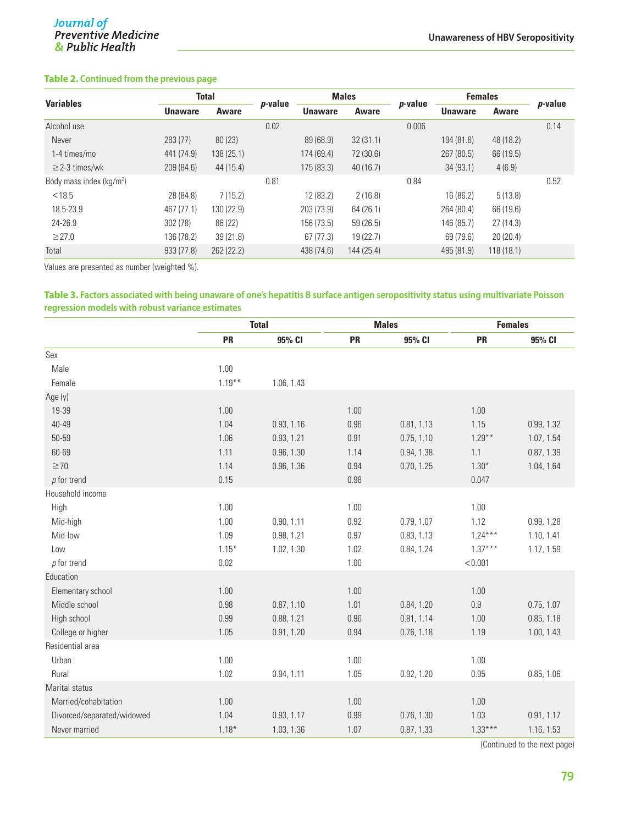# **Table 2. Continued from the previous page**

| <b>Variables</b>           | <b>Total</b>   |              |                 | <b>Males</b>   |            |                 | <b>Females</b> |           |                 |
|----------------------------|----------------|--------------|-----------------|----------------|------------|-----------------|----------------|-----------|-----------------|
|                            | <b>Unaware</b> | <b>Aware</b> | <i>p</i> -value | <b>Unaware</b> | Aware      | <i>p</i> -value | <b>Unaware</b> | Aware     | <i>p</i> -value |
| Alcohol use                |                |              | 0.02            |                |            | 0.006           |                |           | 0.14            |
| Never                      | 283 (77)       | 80(23)       |                 | 89 (68.9)      | 32(31.1)   |                 | 194 (81.8)     | 48 (18.2) |                 |
| 1-4 times/mo               | 441 (74.9)     | 138 (25.1)   |                 | 174 (69.4)     | 72 (30.6)  |                 | 267 (80.5)     | 66 (19.5) |                 |
| $\geq$ 2-3 times/wk        | 209 (84.6)     | 44 (15.4)    |                 | 175 (83.3)     | 40(16.7)   |                 | 34(93.1)       | 4(6.9)    |                 |
| Body mass index $(kq/m^2)$ |                |              | 0.81            |                |            | 0.84            |                |           | 0.52            |
| < 18.5                     | 28 (84.8)      | 7(15.2)      |                 | 12 (83.2)      | 2(16.8)    |                 | 16 (86.2)      | 5(13.8)   |                 |
| 18.5-23.9                  | 467 (77.1)     | 130 (22.9)   |                 | 203 (73.9)     | 64 (26.1)  |                 | 264 (80.4)     | 66 (19.6) |                 |
| 24-26.9                    | 302 (78)       | 86 (22)      |                 | 156 (73.5)     | 59(26.5)   |                 | 146 (85.7)     | 27(14.3)  |                 |
| $\geq$ 27.0                | 136 (78.2)     | 39(21.8)     |                 | 67 (77.3)      | 19 (22.7)  |                 | 69 (79.6)      | 20(20.4)  |                 |
| Total                      | 933 (77.8)     | 262 (22.2)   |                 | 438 (74.6)     | 144 (25.4) |                 | 495 (81.9)     | 118(18.1) |                 |

Values are presented as number (weighted %).

#### **Table 3. Factors associated with being unaware of one's hepatitis B surface antigen seropositivity status using multivariate Poisson regression models with robust variance estimates**

|                            |           | <b>Total</b> |           | <b>Males</b> | <b>Females</b> |            |  |
|----------------------------|-----------|--------------|-----------|--------------|----------------|------------|--|
|                            | <b>PR</b> | 95% CI       | <b>PR</b> | 95% CI       | <b>PR</b>      | 95% CI     |  |
| Sex                        |           |              |           |              |                |            |  |
| Male                       | 1.00      |              |           |              |                |            |  |
| Female                     | $1.19***$ | 1.06, 1.43   |           |              |                |            |  |
| Age (y)                    |           |              |           |              |                |            |  |
| 19-39                      | 1.00      |              | 1.00      |              | 1.00           |            |  |
| 40-49                      | 1.04      | 0.93, 1.16   | 0.96      | 0.81, 1.13   | 1.15           | 0.99, 1.32 |  |
| 50-59                      | 1.06      | 0.93, 1.21   | 0.91      | 0.75, 1.10   | $1.29***$      | 1.07, 1.54 |  |
| 60-69                      | 1.11      | 0.96, 1.30   | 1.14      | 0.94, 1.38   | 1.1            | 0.87, 1.39 |  |
| $\geq 70$                  | 1.14      | 0.96, 1.36   | 0.94      | 0.70, 1.25   | $1.30*$        | 1.04, 1.64 |  |
| $p$ for trend              | 0.15      |              | 0.98      |              | 0.047          |            |  |
| Household income           |           |              |           |              |                |            |  |
| High                       | 1.00      |              | 1.00      |              | 1.00           |            |  |
| Mid-high                   | 1.00      | 0.90, 1.11   | 0.92      | 0.79, 1.07   | 1.12           | 0.99, 1.28 |  |
| Mid-low                    | 1.09      | 0.98, 1.21   | 0.97      | 0.83, 1.13   | $1.24***$      | 1.10, 1.41 |  |
| Low                        | $1.15*$   | 1.02, 1.30   | 1.02      | 0.84, 1.24   | $1.37***$      | 1.17, 1.59 |  |
| $p$ for trend              | 0.02      |              | 1.00      |              | < 0.001        |            |  |
| Education                  |           |              |           |              |                |            |  |
| Elementary school          | 1.00      |              | 1.00      |              | 1.00           |            |  |
| Middle school              | 0.98      | 0.87, 1.10   | 1.01      | 0.84, 1.20   | 0.9            | 0.75, 1.07 |  |
| High school                | 0.99      | 0.88, 1.21   | 0.96      | 0.81, 1.14   | 1.00           | 0.85, 1.18 |  |
| College or higher          | 1.05      | 0.91, 1.20   | 0.94      | 0.76, 1.18   | 1.19           | 1.00, 1.43 |  |
| Residential area           |           |              |           |              |                |            |  |
| Urban                      | 1.00      |              | 1.00      |              | 1.00           |            |  |
| Rural                      | 1.02      | 0.94, 1.11   | 1.05      | 0.92, 1.20   | 0.95           | 0.85, 1.06 |  |
| Marital status             |           |              |           |              |                |            |  |
| Married/cohabitation       | 1.00      |              | 1.00      |              | 1.00           |            |  |
| Divorced/separated/widowed | 1.04      | 0.93, 1.17   | 0.99      | 0.76, 1.30   | 1.03           | 0.91, 1.17 |  |
| Never married              | $1.18*$   | 1.03, 1.36   | 1.07      | 0.87, 1.33   | $1.33***$      | 1.16, 1.53 |  |

(Continued to the next page)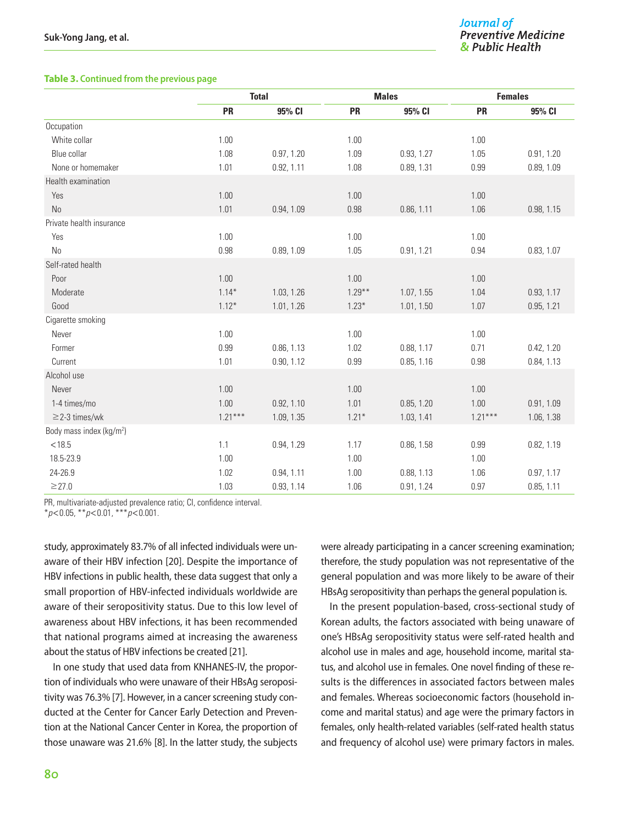#### **Table 3. Continued from the previous page**

|                                      |           | <b>Total</b> |           | <b>Males</b> | <b>Females</b> |            |  |
|--------------------------------------|-----------|--------------|-----------|--------------|----------------|------------|--|
|                                      | <b>PR</b> | 95% CI       | <b>PR</b> | 95% CI       | <b>PR</b>      | 95% CI     |  |
| Occupation                           |           |              |           |              |                |            |  |
| White collar                         | 1.00      |              | 1.00      |              | 1.00           |            |  |
| Blue collar                          | 1.08      | 0.97, 1.20   | 1.09      | 0.93, 1.27   | 1.05           | 0.91, 1.20 |  |
| None or homemaker                    | 1.01      | 0.92, 1.11   | 1.08      | 0.89, 1.31   | 0.99           | 0.89, 1.09 |  |
| Health examination                   |           |              |           |              |                |            |  |
| Yes                                  | 1.00      |              | 1.00      |              | 1.00           |            |  |
| No                                   | 1.01      | 0.94, 1.09   | 0.98      | 0.86, 1.11   | 1.06           | 0.98, 1.15 |  |
| Private health insurance             |           |              |           |              |                |            |  |
| Yes                                  | 1.00      |              | 1.00      |              | 1.00           |            |  |
| N <sub>0</sub>                       | 0.98      | 0.89, 1.09   | 1.05      | 0.91, 1.21   | 0.94           | 0.83, 1.07 |  |
| Self-rated health                    |           |              |           |              |                |            |  |
| Poor                                 | 1.00      |              | 1.00      |              | 1.00           |            |  |
| Moderate                             | $1.14*$   | 1.03, 1.26   | $1.29***$ | 1.07, 1.55   | 1.04           | 0.93, 1.17 |  |
| Good                                 | $1.12*$   | 1.01, 1.26   | $1.23*$   | 1.01, 1.50   | 1.07           | 0.95, 1.21 |  |
| Cigarette smoking                    |           |              |           |              |                |            |  |
| Never                                | 1.00      |              | 1.00      |              | 1.00           |            |  |
| Former                               | 0.99      | 0.86, 1.13   | 1.02      | 0.88, 1.17   | 0.71           | 0.42, 1.20 |  |
| Current                              | 1.01      | 0.90, 1.12   | 0.99      | 0.85, 1.16   | 0.98           | 0.84, 1.13 |  |
| Alcohol use                          |           |              |           |              |                |            |  |
| Never                                | 1.00      |              | 1.00      |              | 1.00           |            |  |
| 1-4 times/mo                         | 1.00      | 0.92, 1.10   | 1.01      | 0.85, 1.20   | 1.00           | 0.91, 1.09 |  |
| $\geq$ 2-3 times/wk                  | $1.21***$ | 1.09, 1.35   | $1.21*$   | 1.03, 1.41   | $1.21***$      | 1.06, 1.38 |  |
| Body mass index (kg/m <sup>2</sup> ) |           |              |           |              |                |            |  |
| < 18.5                               | 1.1       | 0.94, 1.29   | 1.17      | 0.86, 1.58   | 0.99           | 0.82, 1.19 |  |
| 18.5-23.9                            | 1.00      |              | 1.00      |              | 1.00           |            |  |
| 24-26.9                              | 1.02      | 0.94, 1.11   | 1.00      | 0.88, 1.13   | 1.06           | 0.97, 1.17 |  |
| $\geq$ 27.0                          | 1.03      | 0.93, 1.14   | 1.06      | 0.91, 1.24   | 0.97           | 0.85, 1.11 |  |

PR, multivariate-adjusted prevalence ratio; CI, confidence interval.

\**p*<0.05, \*\**p*<0.01, \*\*\**p*<0.001.

study, approximately 83.7% of all infected individuals were unaware of their HBV infection [20]. Despite the importance of HBV infections in public health, these data suggest that only a small proportion of HBV-infected individuals worldwide are aware of their seropositivity status. Due to this low level of awareness about HBV infections, it has been recommended that national programs aimed at increasing the awareness about the status of HBV infections be created [21].

In one study that used data from KNHANES-IV, the proportion of individuals who were unaware of their HBsAg seropositivity was 76.3% [7]. However, in a cancer screening study conducted at the Center for Cancer Early Detection and Prevention at the National Cancer Center in Korea, the proportion of those unaware was 21.6% [8]. In the latter study, the subjects were already participating in a cancer screening examination; therefore, the study population was not representative of the general population and was more likely to be aware of their HBsAg seropositivity than perhaps the general population is.

In the present population-based, cross-sectional study of Korean adults, the factors associated with being unaware of one's HBsAg seropositivity status were self-rated health and alcohol use in males and age, household income, marital status, and alcohol use in females. One novel finding of these results is the differences in associated factors between males and females. Whereas socioeconomic factors (household income and marital status) and age were the primary factors in females, only health-related variables (self-rated health status and frequency of alcohol use) were primary factors in males.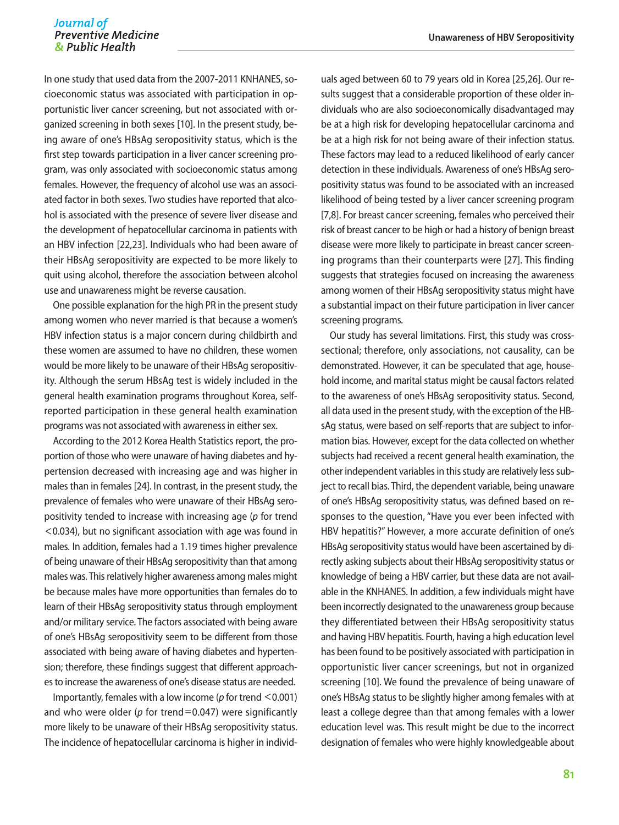In one study that used data from the 2007-2011 KNHANES, socioeconomic status was associated with participation in opportunistic liver cancer screening, but not associated with organized screening in both sexes [10]. In the present study, being aware of one's HBsAg seropositivity status, which is the first step towards participation in a liver cancer screening program, was only associated with socioeconomic status among females. However, the frequency of alcohol use was an associated factor in both sexes. Two studies have reported that alcohol is associated with the presence of severe liver disease and the development of hepatocellular carcinoma in patients with an HBV infection [22,23]. Individuals who had been aware of their HBsAg seropositivity are expected to be more likely to quit using alcohol, therefore the association between alcohol use and unawareness might be reverse causation.

One possible explanation for the high PR in the present study among women who never married is that because a women's HBV infection status is a major concern during childbirth and these women are assumed to have no children, these women would be more likely to be unaware of their HBsAg seropositivity. Although the serum HBsAg test is widely included in the general health examination programs throughout Korea, selfreported participation in these general health examination programs was not associated with awareness in either sex.

According to the 2012 Korea Health Statistics report, the proportion of those who were unaware of having diabetes and hypertension decreased with increasing age and was higher in males than in females [24]. In contrast, in the present study, the prevalence of females who were unaware of their HBsAg seropositivity tended to increase with increasing age (*p* for trend <0.034), but no significant association with age was found in males. In addition, females had a 1.19 times higher prevalence of being unaware of their HBsAg seropositivity than that among males was. This relatively higher awareness among males might be because males have more opportunities than females do to learn of their HBsAg seropositivity status through employment and/or military service. The factors associated with being aware of one's HBsAg seropositivity seem to be different from those associated with being aware of having diabetes and hypertension; therefore, these findings suggest that different approaches to increase the awareness of one's disease status are needed.

Importantly, females with a low income (*p* for trend <0.001) and who were older (*p* for trend=0.047) were significantly more likely to be unaware of their HBsAg seropositivity status. The incidence of hepatocellular carcinoma is higher in individ-

uals aged between 60 to 79 years old in Korea [25,26]. Our results suggest that a considerable proportion of these older individuals who are also socioeconomically disadvantaged may be at a high risk for developing hepatocellular carcinoma and be at a high risk for not being aware of their infection status. These factors may lead to a reduced likelihood of early cancer detection in these individuals. Awareness of one's HBsAg seropositivity status was found to be associated with an increased likelihood of being tested by a liver cancer screening program [7,8]. For breast cancer screening, females who perceived their risk of breast cancer to be high or had a history of benign breast disease were more likely to participate in breast cancer screening programs than their counterparts were [27]. This finding suggests that strategies focused on increasing the awareness among women of their HBsAg seropositivity status might have a substantial impact on their future participation in liver cancer screening programs.

Our study has several limitations. First, this study was crosssectional; therefore, only associations, not causality, can be demonstrated. However, it can be speculated that age, household income, and marital status might be causal factors related to the awareness of one's HBsAg seropositivity status. Second, all data used in the present study, with the exception of the HBsAg status, were based on self-reports that are subject to information bias. However, except for the data collected on whether subjects had received a recent general health examination, the other independent variables in this study are relatively less subject to recall bias. Third, the dependent variable, being unaware of one's HBsAg seropositivity status, was defined based on responses to the question, "Have you ever been infected with HBV hepatitis?" However, a more accurate definition of one's HBsAg seropositivity status would have been ascertained by directly asking subjects about their HBsAg seropositivity status or knowledge of being a HBV carrier, but these data are not available in the KNHANES. In addition, a few individuals might have been incorrectly designated to the unawareness group because they differentiated between their HBsAg seropositivity status and having HBV hepatitis. Fourth, having a high education level has been found to be positively associated with participation in opportunistic liver cancer screenings, but not in organized screening [10]. We found the prevalence of being unaware of one's HBsAg status to be slightly higher among females with at least a college degree than that among females with a lower education level was. This result might be due to the incorrect designation of females who were highly knowledgeable about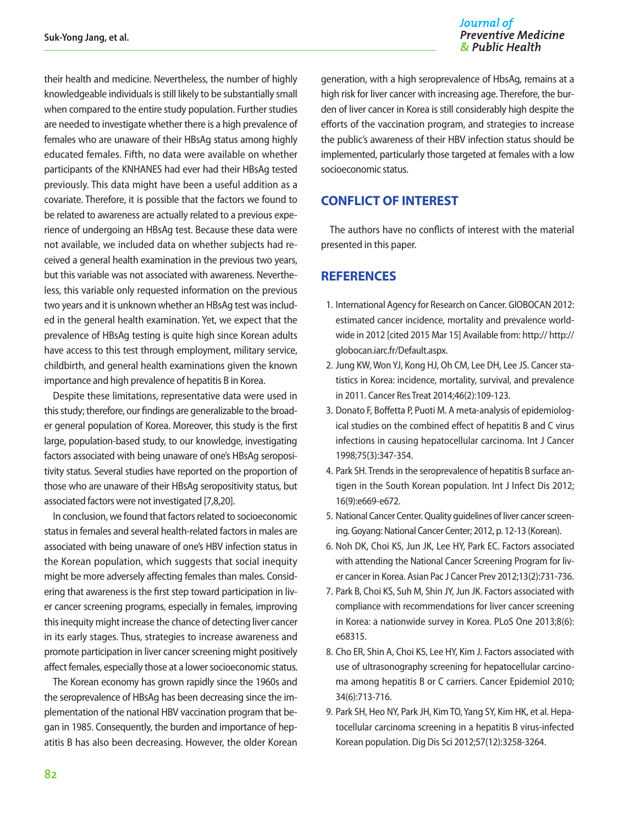their health and medicine. Nevertheless, the number of highly knowledgeable individuals is still likely to be substantially small when compared to the entire study population. Further studies are needed to investigate whether there is a high prevalence of females who are unaware of their HBsAg status among highly educated females. Fifth, no data were available on whether participants of the KNHANES had ever had their HBsAg tested previously. This data might have been a useful addition as a covariate. Therefore, it is possible that the factors we found to be related to awareness are actually related to a previous experience of undergoing an HBsAg test. Because these data were not available, we included data on whether subjects had received a general health examination in the previous two years, but this variable was not associated with awareness. Nevertheless, this variable only requested information on the previous two years and it is unknown whether an HBsAg test was included in the general health examination. Yet, we expect that the prevalence of HBsAg testing is quite high since Korean adults have access to this test through employment, military service, childbirth, and general health examinations given the known importance and high prevalence of hepatitis B in Korea.

Despite these limitations, representative data were used in this study; therefore, our findings are generalizable to the broader general population of Korea. Moreover, this study is the first large, population-based study, to our knowledge, investigating factors associated with being unaware of one's HBsAg seropositivity status. Several studies have reported on the proportion of those who are unaware of their HBsAg seropositivity status, but associated factors were not investigated [7,8,20].

In conclusion, we found that factors related to socioeconomic status in females and several health-related factors in males are associated with being unaware of one's HBV infection status in the Korean population, which suggests that social inequity might be more adversely affecting females than males. Considering that awareness is the first step toward participation in liver cancer screening programs, especially in females, improving this inequity might increase the chance of detecting liver cancer in its early stages. Thus, strategies to increase awareness and promote participation in liver cancer screening might positively affect females, especially those at a lower socioeconomic status.

The Korean economy has grown rapidly since the 1960s and the seroprevalence of HBsAg has been decreasing since the implementation of the national HBV vaccination program that began in 1985. Consequently, the burden and importance of hepatitis B has also been decreasing. However, the older Korean

generation, with a high seroprevalence of HbsAg, remains at a high risk for liver cancer with increasing age. Therefore, the burden of liver cancer in Korea is still considerably high despite the efforts of the vaccination program, and strategies to increase the public's awareness of their HBV infection status should be implemented, particularly those targeted at females with a low socioeconomic status.

# **CONFLICT OF INTEREST**

The authors have no conflicts of interest with the material presented in this paper.

# **REFERENCES**

- 1. International Agency for Research on Cancer. GlOBOCAN 2012: estimated cancer incidence, mortality and prevalence worldwide in 2012 [cited 2015 Mar 15] Available from: http:// http:// globocan.iarc.fr/Default.aspx.
- 2. Jung KW, Won YJ, Kong HJ, Oh CM, Lee DH, Lee JS. Cancer statistics in Korea: incidence, mortality, survival, and prevalence in 2011. Cancer Res Treat 2014;46(2):109-123.
- 3. Donato F, Boffetta P, Puoti M. A meta-analysis of epidemiological studies on the combined effect of hepatitis B and C virus infections in causing hepatocellular carcinoma. Int J Cancer 1998;75(3):347-354.
- 4. Park SH. Trends in the seroprevalence of hepatitis B surface antigen in the South Korean population. Int J Infect Dis 2012; 16(9):e669-e672.
- 5. National Cancer Center. Quality guidelines of liver cancer screening. Goyang: National Cancer Center; 2012, p. 12-13 (Korean).
- 6. Noh DK, Choi KS, Jun JK, Lee HY, Park EC. Factors associated with attending the National Cancer Screening Program for liver cancer in Korea. Asian Pac J Cancer Prev 2012;13(2):731-736.
- 7. Park B, Choi KS, Suh M, Shin JY, Jun JK. Factors associated with compliance with recommendations for liver cancer screening in Korea: a nationwide survey in Korea. PLoS One 2013;8(6): e68315.
- 8. Cho ER, Shin A, Choi KS, Lee HY, Kim J. Factors associated with use of ultrasonography screening for hepatocellular carcinoma among hepatitis B or C carriers. Cancer Epidemiol 2010; 34(6):713-716.
- 9. Park SH, Heo NY, Park JH, Kim TO, Yang SY, Kim HK, et al. Hepatocellular carcinoma screening in a hepatitis B virus-infected Korean population. Dig Dis Sci 2012;57(12):3258-3264.